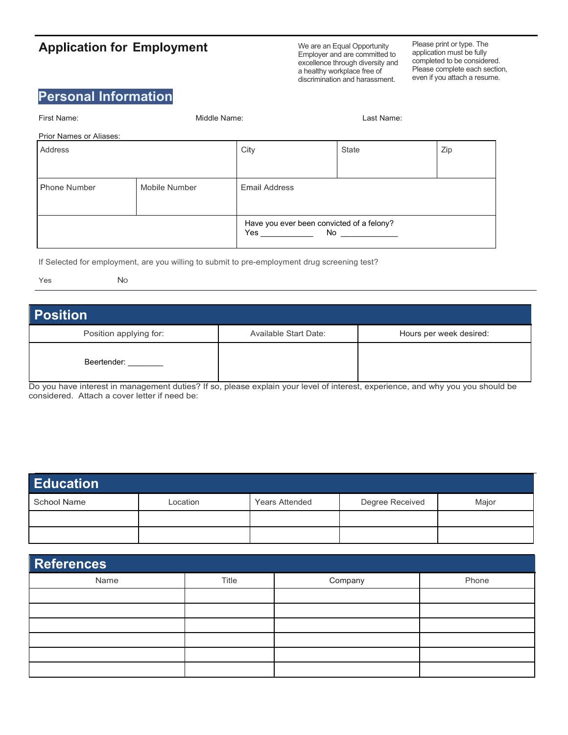## **Application for Employment**

We are an Equal Opportunity Employer and are committed to excellence through diversity and a healthy workplace free of discrimination and harassment.

Please print or type. The application must be fully completed to be considered. Please complete each section, even if you attach a resume.

## **Personal Information**

| First Name:             | Middle Name:  |                                                        | Last Name: |     |
|-------------------------|---------------|--------------------------------------------------------|------------|-----|
| Prior Names or Aliases: |               |                                                        |            |     |
| Address                 |               | City                                                   | State      | Zip |
|                         |               |                                                        |            |     |
| <b>Phone Number</b>     | Mobile Number | <b>Email Address</b>                                   |            |     |
|                         |               | Have you ever been convicted of a felony?<br>Yes<br>No |            |     |

If Selected for employment, are you willing to submit to pre-employment drug screening test?

No.

## **Position** Position applying for: **Available Start Date:** Hours per week desired: Beertender:

Do you have interest in management duties? If so, please explain your level of interest, experience, and why you you should be considered. Attach a cover letter if need be:

| <b>Education</b> |          |                       |                 |       |  |
|------------------|----------|-----------------------|-----------------|-------|--|
| School Name      | Location | <b>Years Attended</b> | Degree Received | Major |  |
|                  |          |                       |                 |       |  |
|                  |          |                       |                 |       |  |

| <b>References</b> |       |         |       |  |  |
|-------------------|-------|---------|-------|--|--|
| Name              | Title | Company | Phone |  |  |
|                   |       |         |       |  |  |
|                   |       |         |       |  |  |
|                   |       |         |       |  |  |
|                   |       |         |       |  |  |
|                   |       |         |       |  |  |
|                   |       |         |       |  |  |